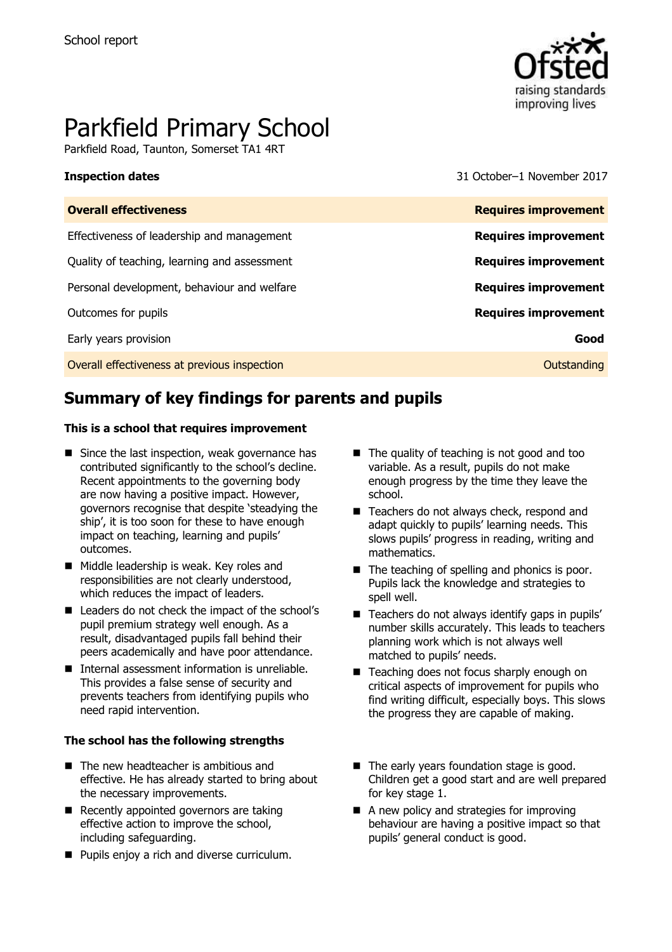

# Parkfield Primary School

Parkfield Road, Taunton, Somerset TA1 4RT

**Inspection dates** 31 October–1 November 2017

| <b>Overall effectiveness</b>                 | <b>Requires improvement</b> |
|----------------------------------------------|-----------------------------|
| Effectiveness of leadership and management   | <b>Requires improvement</b> |
| Quality of teaching, learning and assessment | <b>Requires improvement</b> |
| Personal development, behaviour and welfare  | <b>Requires improvement</b> |
| Outcomes for pupils                          | <b>Requires improvement</b> |
| Early years provision                        | Good                        |
| Overall effectiveness at previous inspection | Outstanding                 |

# **Summary of key findings for parents and pupils**

### **This is a school that requires improvement**

- Since the last inspection, weak governance has contributed significantly to the school's decline. Recent appointments to the governing body are now having a positive impact. However, governors recognise that despite 'steadying the ship', it is too soon for these to have enough impact on teaching, learning and pupils' outcomes.
- Middle leadership is weak. Key roles and responsibilities are not clearly understood, which reduces the impact of leaders.
- Leaders do not check the impact of the school's pupil premium strategy well enough. As a result, disadvantaged pupils fall behind their peers academically and have poor attendance.
- Internal assessment information is unreliable. This provides a false sense of security and prevents teachers from identifying pupils who need rapid intervention.

### **The school has the following strengths**

- The new headteacher is ambitious and effective. He has already started to bring about the necessary improvements.
- Recently appointed governors are taking effective action to improve the school, including safeguarding.
- **Pupils enjoy a rich and diverse curriculum.**
- The quality of teaching is not good and too variable. As a result, pupils do not make enough progress by the time they leave the school.
- Teachers do not always check, respond and adapt quickly to pupils' learning needs. This slows pupils' progress in reading, writing and mathematics.
- The teaching of spelling and phonics is poor. Pupils lack the knowledge and strategies to spell well.
- $\blacksquare$  Teachers do not always identify gaps in pupils' number skills accurately. This leads to teachers planning work which is not always well matched to pupils' needs.
- Teaching does not focus sharply enough on critical aspects of improvement for pupils who find writing difficult, especially boys. This slows the progress they are capable of making.
- The early years foundation stage is good. Children get a good start and are well prepared for key stage 1.
- A new policy and strategies for improving behaviour are having a positive impact so that pupils' general conduct is good.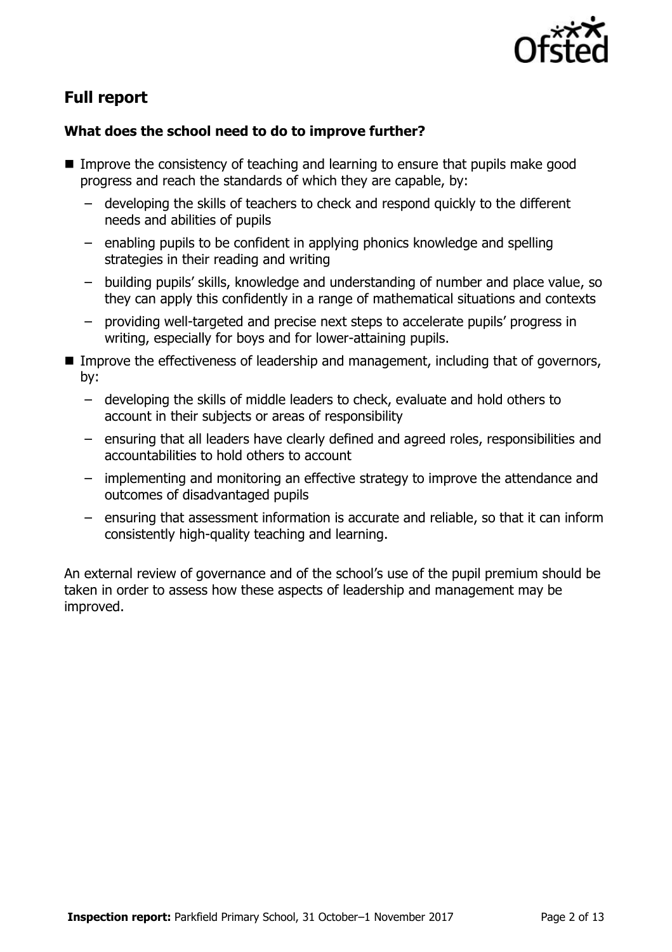

# **Full report**

### **What does the school need to do to improve further?**

- Improve the consistency of teaching and learning to ensure that pupils make good progress and reach the standards of which they are capable, by:
	- developing the skills of teachers to check and respond quickly to the different needs and abilities of pupils
	- enabling pupils to be confident in applying phonics knowledge and spelling strategies in their reading and writing
	- building pupils' skills, knowledge and understanding of number and place value, so they can apply this confidently in a range of mathematical situations and contexts
	- providing well-targeted and precise next steps to accelerate pupils' progress in writing, especially for boys and for lower-attaining pupils.
- Improve the effectiveness of leadership and management, including that of governors, by:
	- developing the skills of middle leaders to check, evaluate and hold others to account in their subjects or areas of responsibility
	- ensuring that all leaders have clearly defined and agreed roles, responsibilities and accountabilities to hold others to account
	- implementing and monitoring an effective strategy to improve the attendance and outcomes of disadvantaged pupils
	- ensuring that assessment information is accurate and reliable, so that it can inform consistently high-quality teaching and learning.

An external review of governance and of the school's use of the pupil premium should be taken in order to assess how these aspects of leadership and management may be improved.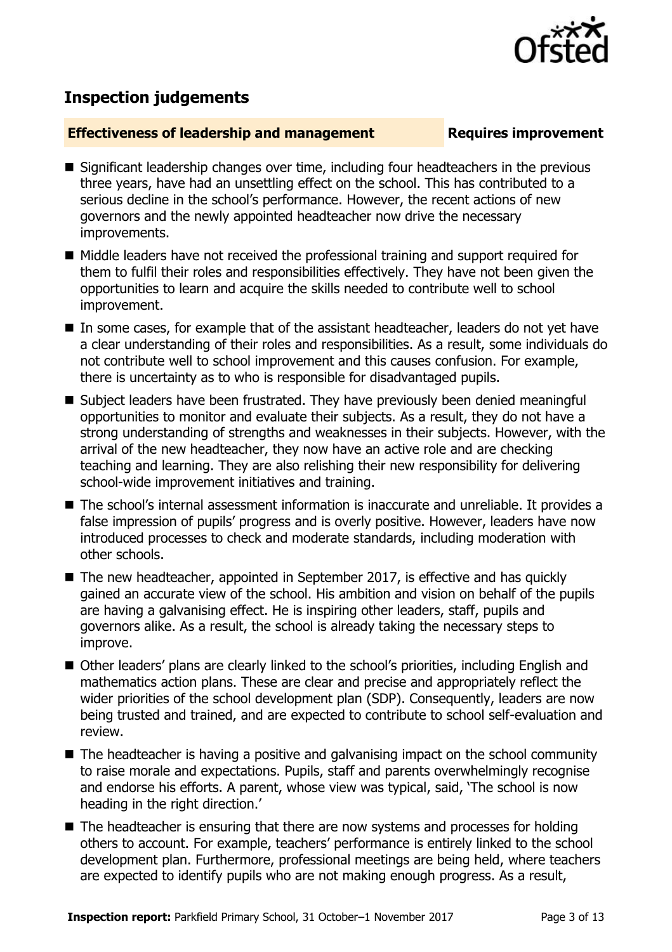

# **Inspection judgements**

### **Effectiveness of leadership and management Requires improvement**

- Significant leadership changes over time, including four headteachers in the previous three years, have had an unsettling effect on the school. This has contributed to a serious decline in the school's performance. However, the recent actions of new governors and the newly appointed headteacher now drive the necessary improvements.
- Middle leaders have not received the professional training and support required for them to fulfil their roles and responsibilities effectively. They have not been given the opportunities to learn and acquire the skills needed to contribute well to school improvement.
- In some cases, for example that of the assistant headteacher, leaders do not yet have a clear understanding of their roles and responsibilities. As a result, some individuals do not contribute well to school improvement and this causes confusion. For example, there is uncertainty as to who is responsible for disadvantaged pupils.
- Subject leaders have been frustrated. They have previously been denied meaningful opportunities to monitor and evaluate their subjects. As a result, they do not have a strong understanding of strengths and weaknesses in their subjects. However, with the arrival of the new headteacher, they now have an active role and are checking teaching and learning. They are also relishing their new responsibility for delivering school-wide improvement initiatives and training.
- The school's internal assessment information is inaccurate and unreliable. It provides a false impression of pupils' progress and is overly positive. However, leaders have now introduced processes to check and moderate standards, including moderation with other schools.
- The new headteacher, appointed in September 2017, is effective and has quickly gained an accurate view of the school. His ambition and vision on behalf of the pupils are having a galvanising effect. He is inspiring other leaders, staff, pupils and governors alike. As a result, the school is already taking the necessary steps to improve.
- Other leaders' plans are clearly linked to the school's priorities, including English and mathematics action plans. These are clear and precise and appropriately reflect the wider priorities of the school development plan (SDP). Consequently, leaders are now being trusted and trained, and are expected to contribute to school self-evaluation and review.
- The headteacher is having a positive and galvanising impact on the school community to raise morale and expectations. Pupils, staff and parents overwhelmingly recognise and endorse his efforts. A parent, whose view was typical, said, 'The school is now heading in the right direction.'
- The headteacher is ensuring that there are now systems and processes for holding others to account. For example, teachers' performance is entirely linked to the school development plan. Furthermore, professional meetings are being held, where teachers are expected to identify pupils who are not making enough progress. As a result,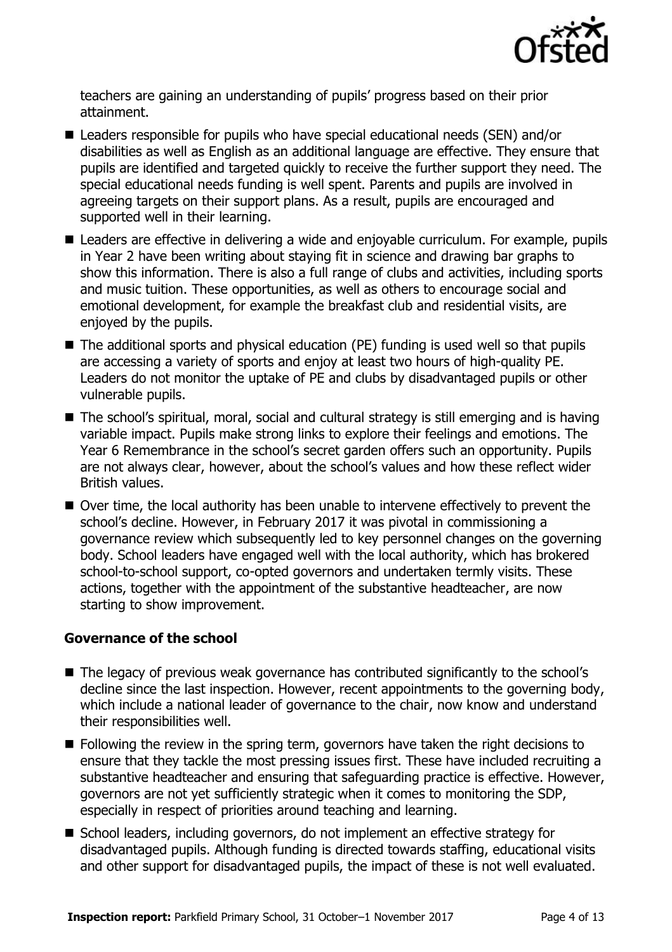

teachers are gaining an understanding of pupils' progress based on their prior attainment.

- Leaders responsible for pupils who have special educational needs (SEN) and/or disabilities as well as English as an additional language are effective. They ensure that pupils are identified and targeted quickly to receive the further support they need. The special educational needs funding is well spent. Parents and pupils are involved in agreeing targets on their support plans. As a result, pupils are encouraged and supported well in their learning.
- Leaders are effective in delivering a wide and enjoyable curriculum. For example, pupils in Year 2 have been writing about staying fit in science and drawing bar graphs to show this information. There is also a full range of clubs and activities, including sports and music tuition. These opportunities, as well as others to encourage social and emotional development, for example the breakfast club and residential visits, are enjoyed by the pupils.
- The additional sports and physical education (PE) funding is used well so that pupils are accessing a variety of sports and enjoy at least two hours of high-quality PE. Leaders do not monitor the uptake of PE and clubs by disadvantaged pupils or other vulnerable pupils.
- The school's spiritual, moral, social and cultural strategy is still emerging and is having variable impact. Pupils make strong links to explore their feelings and emotions. The Year 6 Remembrance in the school's secret garden offers such an opportunity. Pupils are not always clear, however, about the school's values and how these reflect wider British values.
- Over time, the local authority has been unable to intervene effectively to prevent the school's decline. However, in February 2017 it was pivotal in commissioning a governance review which subsequently led to key personnel changes on the governing body. School leaders have engaged well with the local authority, which has brokered school-to-school support, co-opted governors and undertaken termly visits. These actions, together with the appointment of the substantive headteacher, are now starting to show improvement.

### **Governance of the school**

- The legacy of previous weak governance has contributed significantly to the school's decline since the last inspection. However, recent appointments to the governing body, which include a national leader of governance to the chair, now know and understand their responsibilities well.
- **Following the review in the spring term, governors have taken the right decisions to** ensure that they tackle the most pressing issues first. These have included recruiting a substantive headteacher and ensuring that safeguarding practice is effective. However, governors are not yet sufficiently strategic when it comes to monitoring the SDP, especially in respect of priorities around teaching and learning.
- School leaders, including governors, do not implement an effective strategy for disadvantaged pupils. Although funding is directed towards staffing, educational visits and other support for disadvantaged pupils, the impact of these is not well evaluated.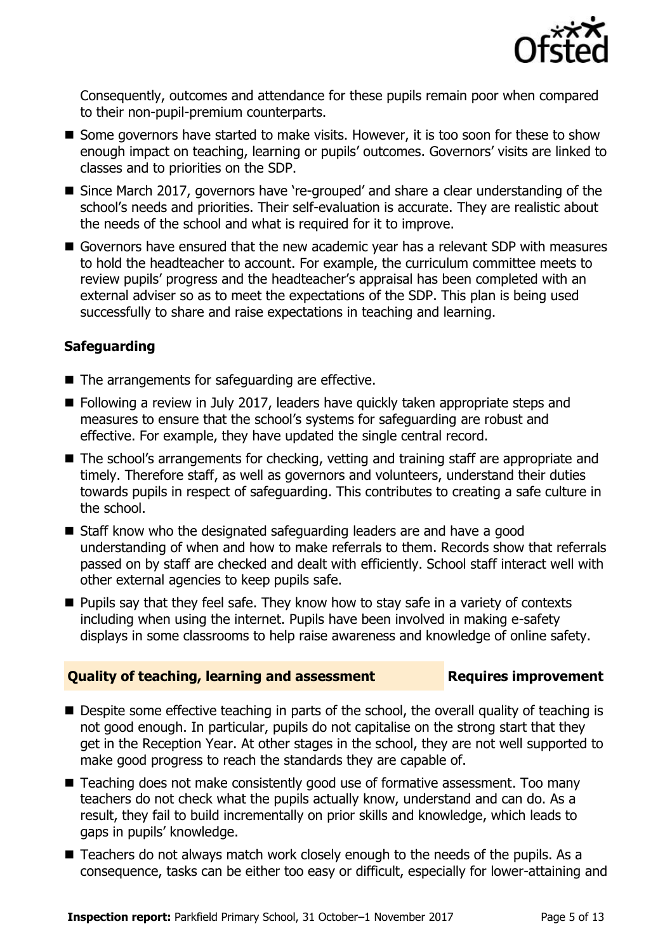

Consequently, outcomes and attendance for these pupils remain poor when compared to their non-pupil-premium counterparts.

- Some governors have started to make visits. However, it is too soon for these to show enough impact on teaching, learning or pupils' outcomes. Governors' visits are linked to classes and to priorities on the SDP.
- Since March 2017, governors have 're-grouped' and share a clear understanding of the school's needs and priorities. Their self-evaluation is accurate. They are realistic about the needs of the school and what is required for it to improve.
- Governors have ensured that the new academic year has a relevant SDP with measures to hold the headteacher to account. For example, the curriculum committee meets to review pupils' progress and the headteacher's appraisal has been completed with an external adviser so as to meet the expectations of the SDP. This plan is being used successfully to share and raise expectations in teaching and learning.

### **Safeguarding**

- $\blacksquare$  The arrangements for safeguarding are effective.
- Following a review in July 2017, leaders have quickly taken appropriate steps and measures to ensure that the school's systems for safeguarding are robust and effective. For example, they have updated the single central record.
- The school's arrangements for checking, vetting and training staff are appropriate and timely. Therefore staff, as well as governors and volunteers, understand their duties towards pupils in respect of safeguarding. This contributes to creating a safe culture in the school.
- Staff know who the designated safeguarding leaders are and have a good understanding of when and how to make referrals to them. Records show that referrals passed on by staff are checked and dealt with efficiently. School staff interact well with other external agencies to keep pupils safe.
- **Pupils say that they feel safe. They know how to stay safe in a variety of contexts** including when using the internet. Pupils have been involved in making e-safety displays in some classrooms to help raise awareness and knowledge of online safety.

### **Quality of teaching, learning and assessment Requires improvement**

- Despite some effective teaching in parts of the school, the overall quality of teaching is not good enough. In particular, pupils do not capitalise on the strong start that they get in the Reception Year. At other stages in the school, they are not well supported to make good progress to reach the standards they are capable of.
- Teaching does not make consistently good use of formative assessment. Too many teachers do not check what the pupils actually know, understand and can do. As a result, they fail to build incrementally on prior skills and knowledge, which leads to gaps in pupils' knowledge.
- Teachers do not always match work closely enough to the needs of the pupils. As a consequence, tasks can be either too easy or difficult, especially for lower-attaining and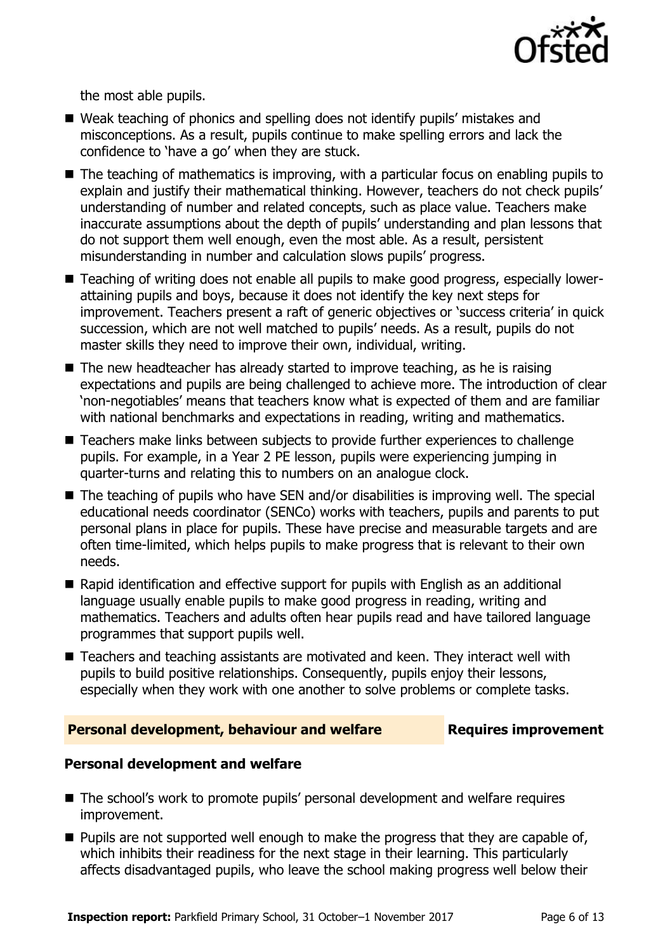

the most able pupils.

- Weak teaching of phonics and spelling does not identify pupils' mistakes and misconceptions. As a result, pupils continue to make spelling errors and lack the confidence to 'have a go' when they are stuck.
- The teaching of mathematics is improving, with a particular focus on enabling pupils to explain and justify their mathematical thinking. However, teachers do not check pupils' understanding of number and related concepts, such as place value. Teachers make inaccurate assumptions about the depth of pupils' understanding and plan lessons that do not support them well enough, even the most able. As a result, persistent misunderstanding in number and calculation slows pupils' progress.
- Teaching of writing does not enable all pupils to make good progress, especially lowerattaining pupils and boys, because it does not identify the key next steps for improvement. Teachers present a raft of generic objectives or 'success criteria' in quick succession, which are not well matched to pupils' needs. As a result, pupils do not master skills they need to improve their own, individual, writing.
- $\blacksquare$  The new headteacher has already started to improve teaching, as he is raising expectations and pupils are being challenged to achieve more. The introduction of clear 'non-negotiables' means that teachers know what is expected of them and are familiar with national benchmarks and expectations in reading, writing and mathematics.
- Teachers make links between subjects to provide further experiences to challenge pupils. For example, in a Year 2 PE lesson, pupils were experiencing jumping in quarter-turns and relating this to numbers on an analogue clock.
- The teaching of pupils who have SEN and/or disabilities is improving well. The special educational needs coordinator (SENCo) works with teachers, pupils and parents to put personal plans in place for pupils. These have precise and measurable targets and are often time-limited, which helps pupils to make progress that is relevant to their own needs.
- Rapid identification and effective support for pupils with English as an additional language usually enable pupils to make good progress in reading, writing and mathematics. Teachers and adults often hear pupils read and have tailored language programmes that support pupils well.
- Teachers and teaching assistants are motivated and keen. They interact well with pupils to build positive relationships. Consequently, pupils enjoy their lessons, especially when they work with one another to solve problems or complete tasks.

### **Personal development, behaviour and welfare Fig. 2.1 Requires improvement**

### **Personal development and welfare**

- The school's work to promote pupils' personal development and welfare requires improvement.
- $\blacksquare$  Pupils are not supported well enough to make the progress that they are capable of, which inhibits their readiness for the next stage in their learning. This particularly affects disadvantaged pupils, who leave the school making progress well below their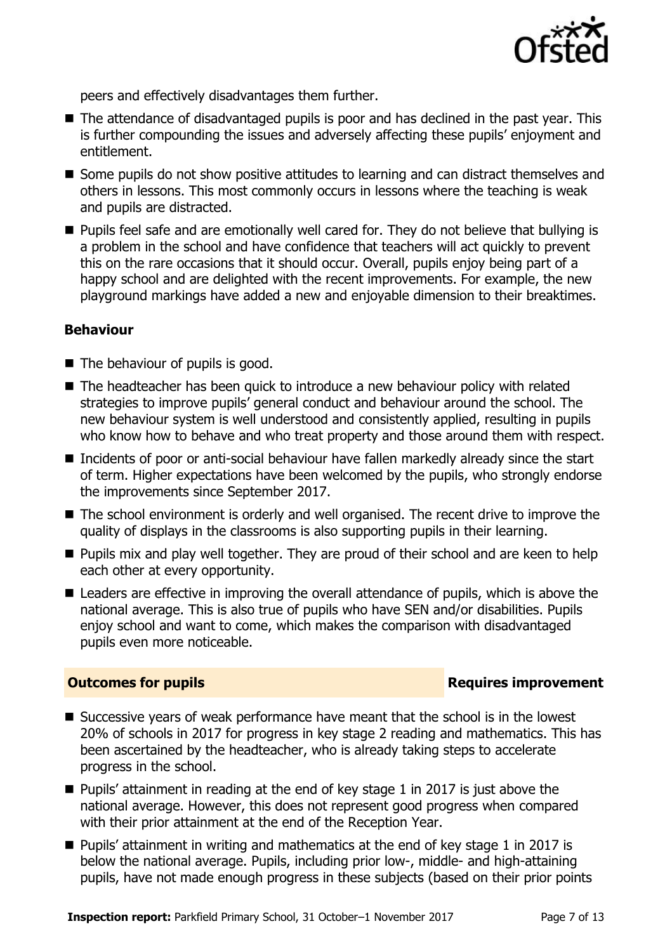

peers and effectively disadvantages them further.

- The attendance of disadvantaged pupils is poor and has declined in the past year. This is further compounding the issues and adversely affecting these pupils' enjoyment and entitlement.
- Some pupils do not show positive attitudes to learning and can distract themselves and others in lessons. This most commonly occurs in lessons where the teaching is weak and pupils are distracted.
- **Pupils feel safe and are emotionally well cared for. They do not believe that bullying is** a problem in the school and have confidence that teachers will act quickly to prevent this on the rare occasions that it should occur. Overall, pupils enjoy being part of a happy school and are delighted with the recent improvements. For example, the new playground markings have added a new and enjoyable dimension to their breaktimes.

### **Behaviour**

- The behaviour of pupils is good.
- The headteacher has been quick to introduce a new behaviour policy with related strategies to improve pupils' general conduct and behaviour around the school. The new behaviour system is well understood and consistently applied, resulting in pupils who know how to behave and who treat property and those around them with respect.
- Incidents of poor or anti-social behaviour have fallen markedly already since the start of term. Higher expectations have been welcomed by the pupils, who strongly endorse the improvements since September 2017.
- The school environment is orderly and well organised. The recent drive to improve the quality of displays in the classrooms is also supporting pupils in their learning.
- **Pupils mix and play well together. They are proud of their school and are keen to help** each other at every opportunity.
- Leaders are effective in improving the overall attendance of pupils, which is above the national average. This is also true of pupils who have SEN and/or disabilities. Pupils enjoy school and want to come, which makes the comparison with disadvantaged pupils even more noticeable.

### **Outcomes for pupils Requires improvement**

- Successive years of weak performance have meant that the school is in the lowest 20% of schools in 2017 for progress in key stage 2 reading and mathematics. This has been ascertained by the headteacher, who is already taking steps to accelerate progress in the school.
- $\blacksquare$  Pupils' attainment in reading at the end of key stage 1 in 2017 is just above the national average. However, this does not represent good progress when compared with their prior attainment at the end of the Reception Year.
- $\blacksquare$  Pupils' attainment in writing and mathematics at the end of key stage 1 in 2017 is below the national average. Pupils, including prior low-, middle- and high-attaining pupils, have not made enough progress in these subjects (based on their prior points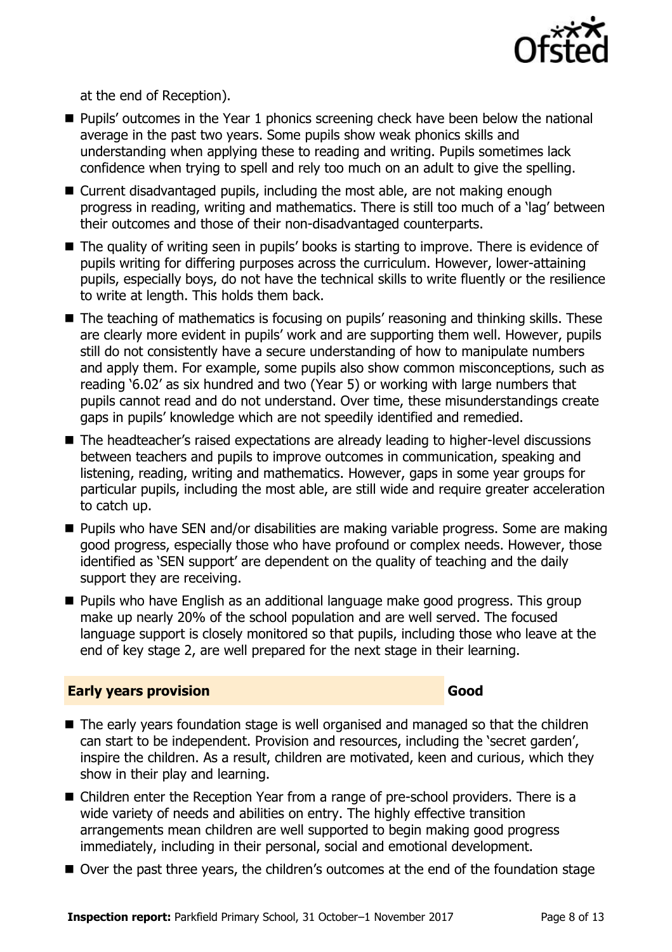

at the end of Reception).

- Pupils' outcomes in the Year 1 phonics screening check have been below the national average in the past two years. Some pupils show weak phonics skills and understanding when applying these to reading and writing. Pupils sometimes lack confidence when trying to spell and rely too much on an adult to give the spelling.
- Current disadvantaged pupils, including the most able, are not making enough progress in reading, writing and mathematics. There is still too much of a 'lag' between their outcomes and those of their non-disadvantaged counterparts.
- The quality of writing seen in pupils' books is starting to improve. There is evidence of pupils writing for differing purposes across the curriculum. However, lower-attaining pupils, especially boys, do not have the technical skills to write fluently or the resilience to write at length. This holds them back.
- The teaching of mathematics is focusing on pupils' reasoning and thinking skills. These are clearly more evident in pupils' work and are supporting them well. However, pupils still do not consistently have a secure understanding of how to manipulate numbers and apply them. For example, some pupils also show common misconceptions, such as reading '6.02' as six hundred and two (Year 5) or working with large numbers that pupils cannot read and do not understand. Over time, these misunderstandings create gaps in pupils' knowledge which are not speedily identified and remedied.
- The headteacher's raised expectations are already leading to higher-level discussions between teachers and pupils to improve outcomes in communication, speaking and listening, reading, writing and mathematics. However, gaps in some year groups for particular pupils, including the most able, are still wide and require greater acceleration to catch up.
- Pupils who have SEN and/or disabilities are making variable progress. Some are making good progress, especially those who have profound or complex needs. However, those identified as 'SEN support' are dependent on the quality of teaching and the daily support they are receiving.
- **Pupils who have English as an additional language make good progress. This group** make up nearly 20% of the school population and are well served. The focused language support is closely monitored so that pupils, including those who leave at the end of key stage 2, are well prepared for the next stage in their learning.

### **Early years provision Good Good**

- The early years foundation stage is well organised and managed so that the children can start to be independent. Provision and resources, including the 'secret garden', inspire the children. As a result, children are motivated, keen and curious, which they show in their play and learning.
- Children enter the Reception Year from a range of pre-school providers. There is a wide variety of needs and abilities on entry. The highly effective transition arrangements mean children are well supported to begin making good progress immediately, including in their personal, social and emotional development.
- Over the past three years, the children's outcomes at the end of the foundation stage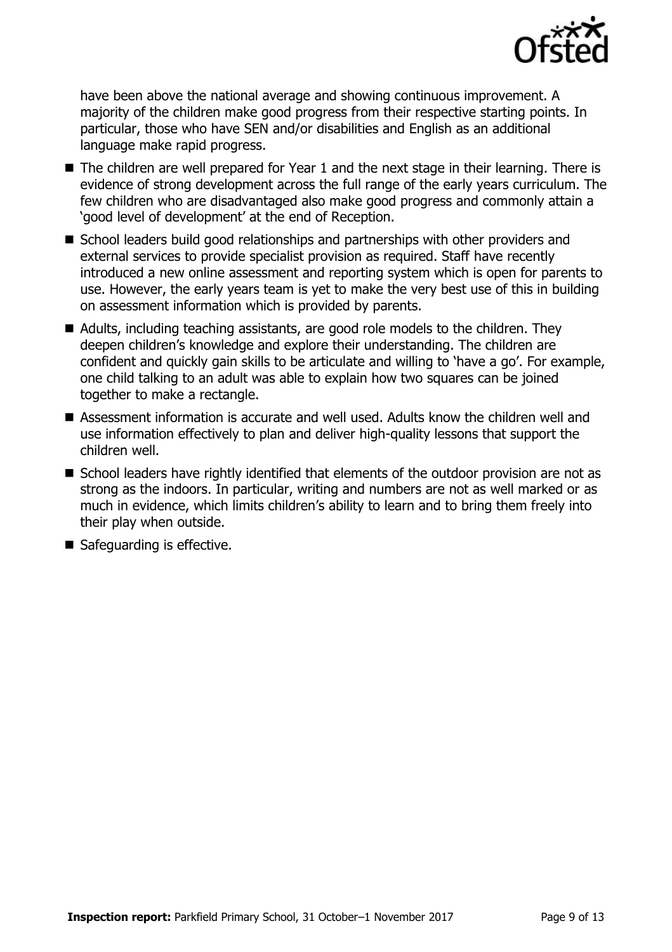

have been above the national average and showing continuous improvement. A majority of the children make good progress from their respective starting points. In particular, those who have SEN and/or disabilities and English as an additional language make rapid progress.

- The children are well prepared for Year 1 and the next stage in their learning. There is evidence of strong development across the full range of the early years curriculum. The few children who are disadvantaged also make good progress and commonly attain a 'good level of development' at the end of Reception.
- School leaders build good relationships and partnerships with other providers and external services to provide specialist provision as required. Staff have recently introduced a new online assessment and reporting system which is open for parents to use. However, the early years team is yet to make the very best use of this in building on assessment information which is provided by parents.
- Adults, including teaching assistants, are good role models to the children. They deepen children's knowledge and explore their understanding. The children are confident and quickly gain skills to be articulate and willing to 'have a go'. For example, one child talking to an adult was able to explain how two squares can be joined together to make a rectangle.
- Assessment information is accurate and well used. Adults know the children well and use information effectively to plan and deliver high-quality lessons that support the children well.
- School leaders have rightly identified that elements of the outdoor provision are not as strong as the indoors. In particular, writing and numbers are not as well marked or as much in evidence, which limits children's ability to learn and to bring them freely into their play when outside.
- Safeguarding is effective.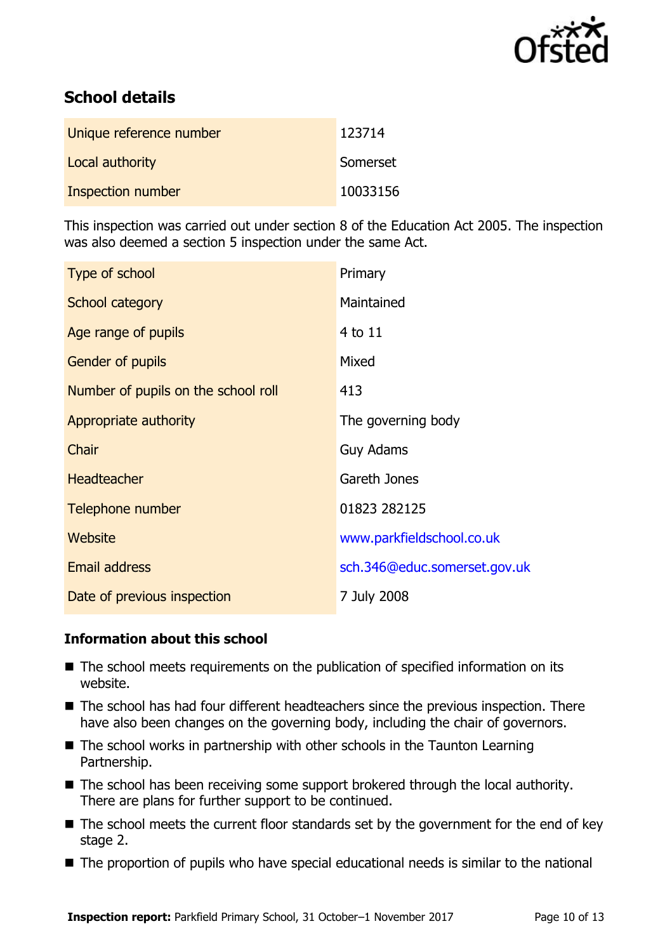

# **School details**

| Unique reference number | 123714   |
|-------------------------|----------|
| Local authority         | Somerset |
| Inspection number       | 10033156 |

This inspection was carried out under section 8 of the Education Act 2005. The inspection was also deemed a section 5 inspection under the same Act.

| Type of school                      | Primary                      |
|-------------------------------------|------------------------------|
| School category                     | Maintained                   |
| Age range of pupils                 | 4 to 11                      |
| <b>Gender of pupils</b>             | Mixed                        |
| Number of pupils on the school roll | 413                          |
| Appropriate authority               | The governing body           |
| Chair                               | <b>Guy Adams</b>             |
| <b>Headteacher</b>                  | Gareth Jones                 |
| Telephone number                    | 01823 282125                 |
| <b>Website</b>                      | www.parkfieldschool.co.uk    |
| <b>Email address</b>                | sch.346@educ.somerset.gov.uk |
| Date of previous inspection         | 7 July 2008                  |

### **Information about this school**

- The school meets requirements on the publication of specified information on its website.
- The school has had four different headteachers since the previous inspection. There have also been changes on the governing body, including the chair of governors.
- $\blacksquare$  The school works in partnership with other schools in the Taunton Learning Partnership.
- The school has been receiving some support brokered through the local authority. There are plans for further support to be continued.
- $\blacksquare$  The school meets the current floor standards set by the government for the end of key stage 2.
- The proportion of pupils who have special educational needs is similar to the national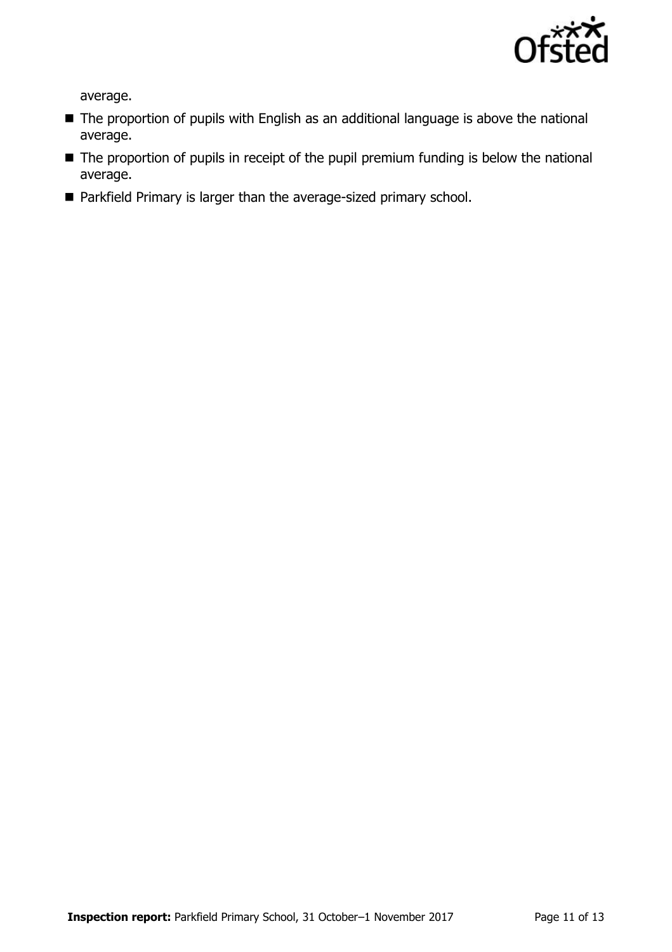

average.

- The proportion of pupils with English as an additional language is above the national average.
- The proportion of pupils in receipt of the pupil premium funding is below the national average.
- Parkfield Primary is larger than the average-sized primary school.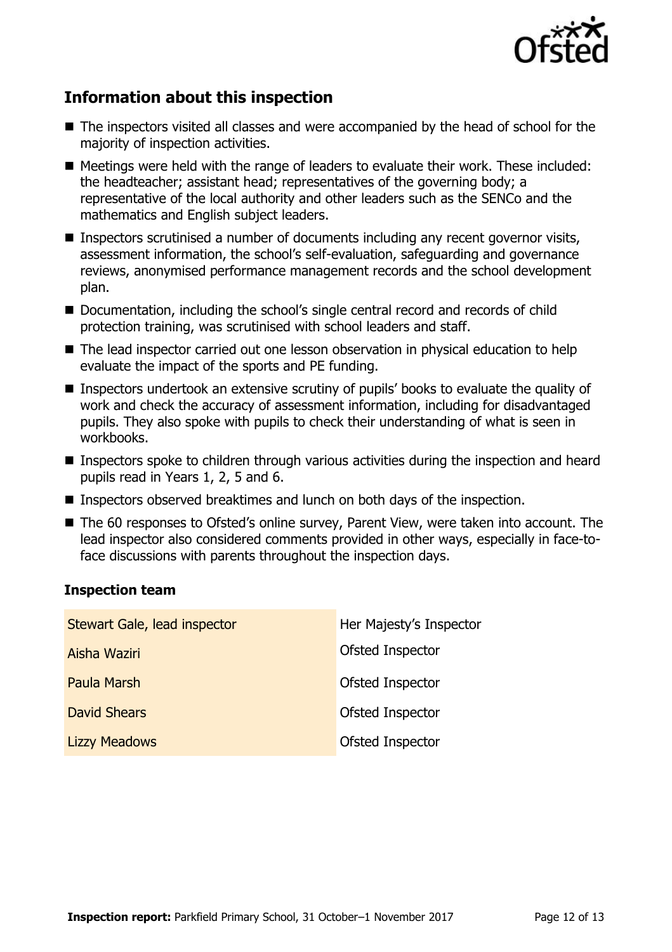

# **Information about this inspection**

- The inspectors visited all classes and were accompanied by the head of school for the majority of inspection activities.
- Meetings were held with the range of leaders to evaluate their work. These included: the headteacher; assistant head; representatives of the governing body; a representative of the local authority and other leaders such as the SENCo and the mathematics and English subject leaders.
- Inspectors scrutinised a number of documents including any recent governor visits, assessment information, the school's self-evaluation, safeguarding and governance reviews, anonymised performance management records and the school development plan.
- Documentation, including the school's single central record and records of child protection training, was scrutinised with school leaders and staff.
- The lead inspector carried out one lesson observation in physical education to help evaluate the impact of the sports and PE funding.
- Inspectors undertook an extensive scrutiny of pupils' books to evaluate the quality of work and check the accuracy of assessment information, including for disadvantaged pupils. They also spoke with pupils to check their understanding of what is seen in workbooks.
- **Inspectors spoke to children through various activities during the inspection and heard** pupils read in Years 1, 2, 5 and 6.
- Inspectors observed breaktimes and lunch on both days of the inspection.
- The 60 responses to Ofsted's online survey, Parent View, were taken into account. The lead inspector also considered comments provided in other ways, especially in face-toface discussions with parents throughout the inspection days.

### **Inspection team**

| Stewart Gale, lead inspector | Her Majesty's Inspector |
|------------------------------|-------------------------|
| Aisha Waziri                 | Ofsted Inspector        |
| Paula Marsh                  | Ofsted Inspector        |
| <b>David Shears</b>          | Ofsted Inspector        |
| <b>Lizzy Meadows</b>         | Ofsted Inspector        |